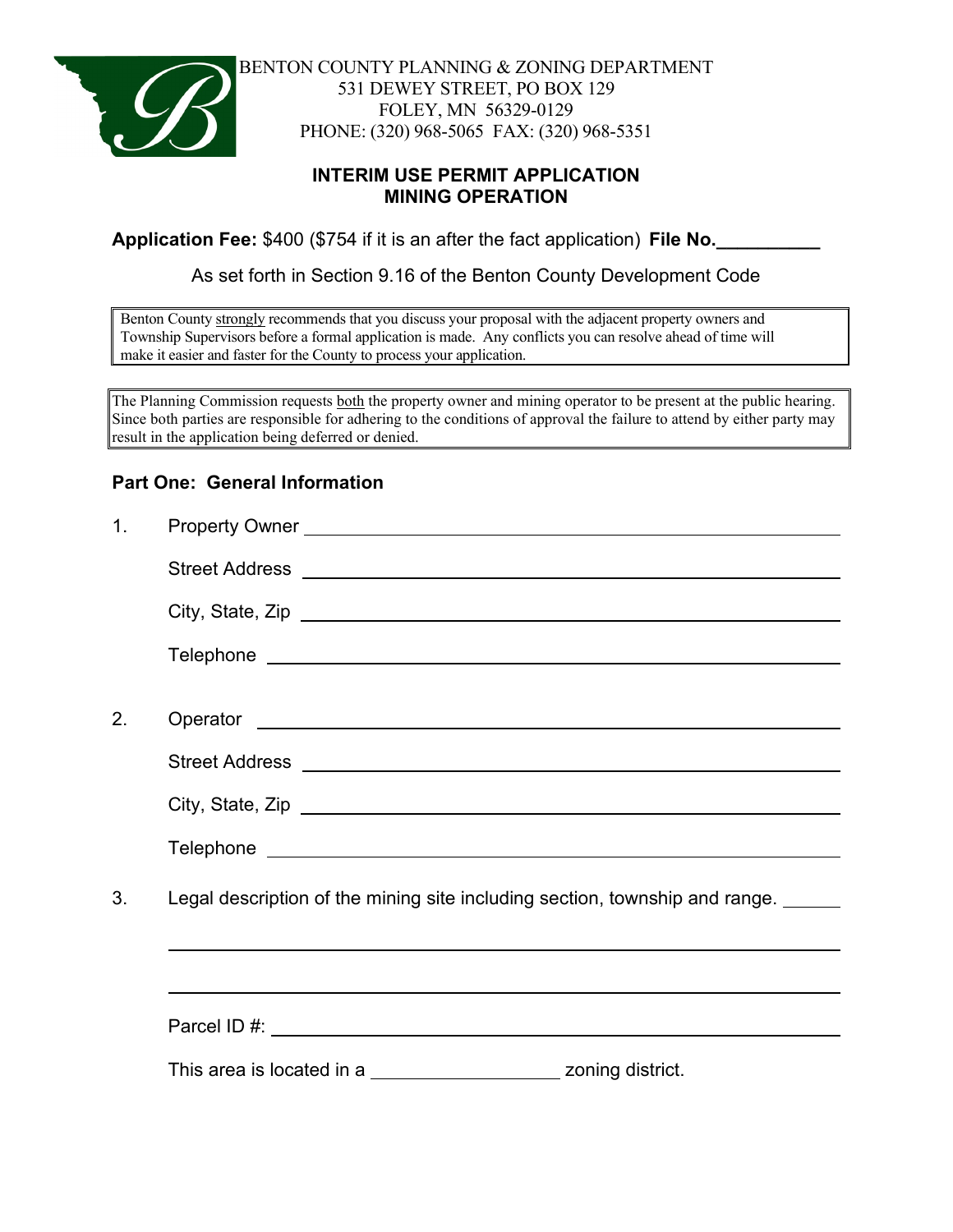

BENTON COUNTY PLANNING & ZONING DEPARTMENT 531 DEWEY STREET, PO BOX 129 FOLEY, MN 56329-0129 PHONE: (320) 968-5065 FAX: (320) 968-5351

## **INTERIM USE PERMIT APPLICATION MINING OPERATION**

**Application Fee:** \$400 (\$754 if it is an after the fact application) **File No.\_\_\_\_\_\_\_\_\_\_**

As set forth in Section 9.16 of the Benton County Development Code

Benton County strongly recommends that you discuss your proposal with the adjacent property owners and Township Supervisors before a formal application is made. Any conflicts you can resolve ahead of time will make it easier and faster for the County to process your application.

The Planning Commission requests both the property owner and mining operator to be present at the public hearing. Since both parties are responsible for adhering to the conditions of approval the failure to attend by either party may result in the application being deferred or denied.

## **Part One: General Information**

| 1 <sub>1</sub> | Property Owner <u>example and the set of the set of the set of the set of the set of the set of the set of the set of the set of the set of the set of the set of the set of the set of the set of the set of the set of the set</u> |
|----------------|--------------------------------------------------------------------------------------------------------------------------------------------------------------------------------------------------------------------------------------|
|                |                                                                                                                                                                                                                                      |
|                |                                                                                                                                                                                                                                      |
|                |                                                                                                                                                                                                                                      |
|                |                                                                                                                                                                                                                                      |
| 2.             |                                                                                                                                                                                                                                      |
|                |                                                                                                                                                                                                                                      |
|                |                                                                                                                                                                                                                                      |
|                |                                                                                                                                                                                                                                      |
| 3.             | Legal description of the mining site including section, township and range.                                                                                                                                                          |
|                |                                                                                                                                                                                                                                      |
|                |                                                                                                                                                                                                                                      |
|                | This area is located in a ____________________________ zoning district.                                                                                                                                                              |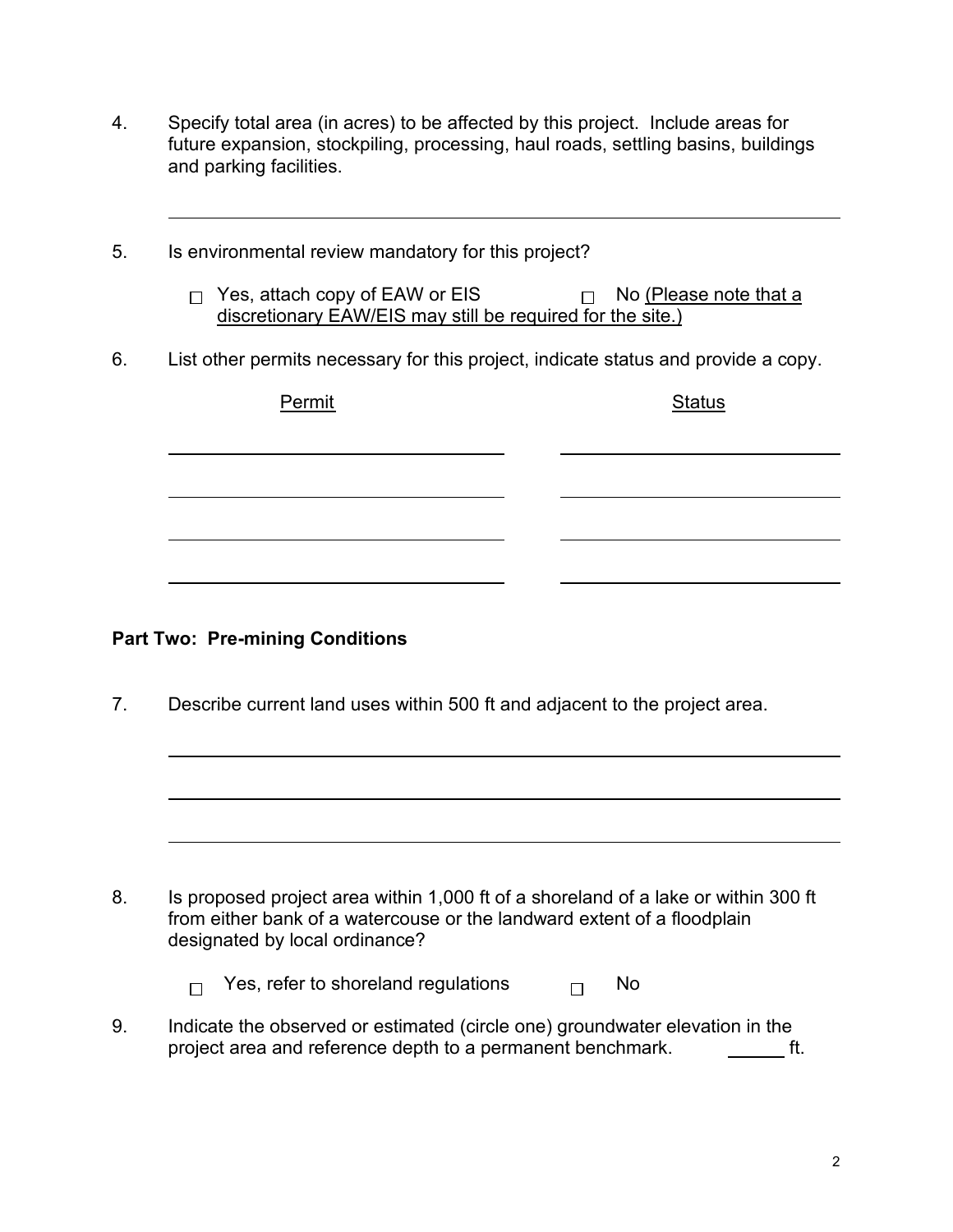- 4. Specify total area (in acres) to be affected by this project. Include areas for future expansion, stockpiling, processing, haul roads, settling basins, buildings and parking facilities.
- 5. Is environmental review mandatory for this project?
	- $\Box$  Yes, attach copy of EAW or EIS  $\Box$  No (Please note that a discretionary EAW/EIS may still be required for the site.)
- 6. List other permits necessary for this project, indicate status and provide a copy.

| Permit | <b>Status</b> |
|--------|---------------|
|        |               |
|        |               |
|        |               |

# **Part Two: Pre-mining Conditions**

7. Describe current land uses within 500 ft and adjacent to the project area.

8. Is proposed project area within 1,000 ft of a shoreland of a lake or within 300 ft from either bank of a watercouse or the landward extent of a floodplain designated by local ordinance?

> Yes, refer to shoreland regulations  $\Box$  No  $\Box$

9. Indicate the observed or estimated (circle one) groundwater elevation in the project area and reference depth to a permanent benchmark. ft.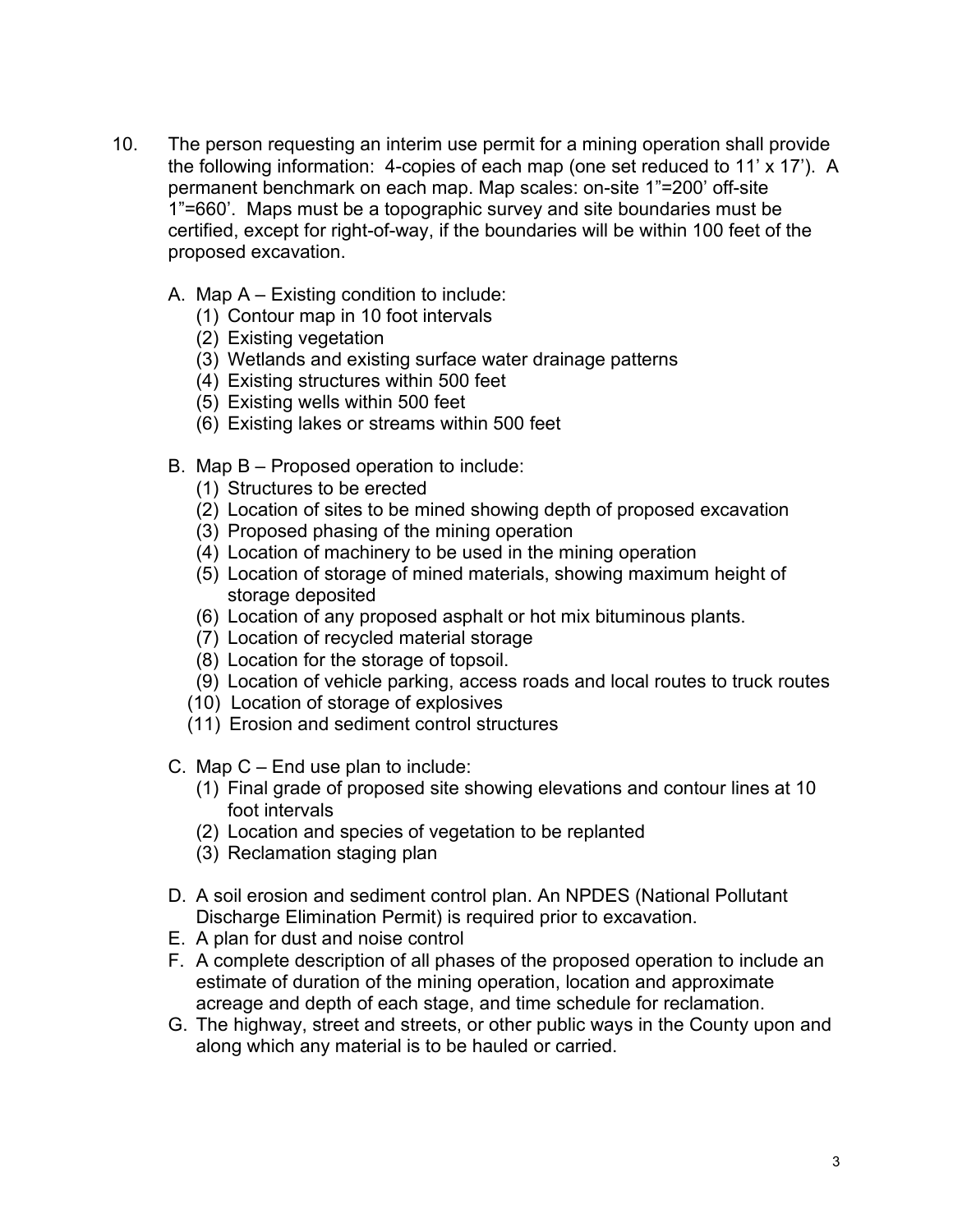- 10. The person requesting an interim use permit for a mining operation shall provide the following information: 4-copies of each map (one set reduced to 11' x 17'). A permanent benchmark on each map. Map scales: on-site 1"=200' off-site 1"=660'. Maps must be a topographic survey and site boundaries must be certified, except for right-of-way, if the boundaries will be within 100 feet of the proposed excavation.
	- A. Map A Existing condition to include:
		- (1) Contour map in 10 foot intervals
		- (2) Existing vegetation
		- (3) Wetlands and existing surface water drainage patterns
		- (4) Existing structures within 500 feet
		- (5) Existing wells within 500 feet
		- (6) Existing lakes or streams within 500 feet
	- B. Map B Proposed operation to include:
		- (1) Structures to be erected
		- (2) Location of sites to be mined showing depth of proposed excavation
		- (3) Proposed phasing of the mining operation
		- (4) Location of machinery to be used in the mining operation
		- (5) Location of storage of mined materials, showing maximum height of storage deposited
		- (6) Location of any proposed asphalt or hot mix bituminous plants.
		- (7) Location of recycled material storage
		- (8) Location for the storage of topsoil.
		- (9) Location of vehicle parking, access roads and local routes to truck routes
		- (10) Location of storage of explosives
		- (11) Erosion and sediment control structures
	- C. Map C End use plan to include:
		- (1) Final grade of proposed site showing elevations and contour lines at 10 foot intervals
		- (2) Location and species of vegetation to be replanted
		- (3) Reclamation staging plan
	- D. A soil erosion and sediment control plan. An NPDES (National Pollutant Discharge Elimination Permit) is required prior to excavation.
	- E. A plan for dust and noise control
	- F. A complete description of all phases of the proposed operation to include an estimate of duration of the mining operation, location and approximate acreage and depth of each stage, and time schedule for reclamation.
	- G. The highway, street and streets, or other public ways in the County upon and along which any material is to be hauled or carried.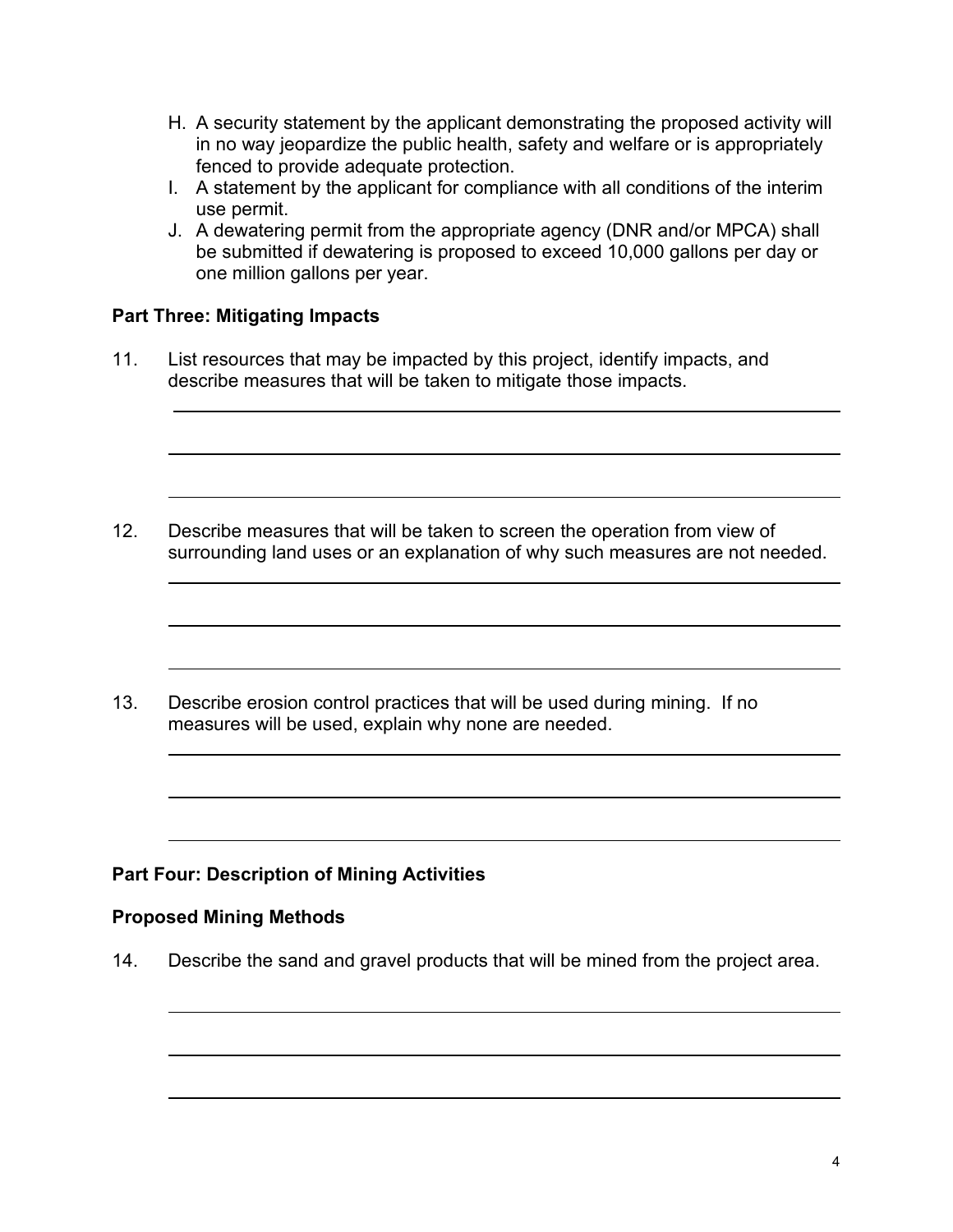- H. A security statement by the applicant demonstrating the proposed activity will in no way jeopardize the public health, safety and welfare or is appropriately fenced to provide adequate protection.
- I. A statement by the applicant for compliance with all conditions of the interim use permit.
- J. A dewatering permit from the appropriate agency (DNR and/or MPCA) shall be submitted if dewatering is proposed to exceed 10,000 gallons per day or one million gallons per year.

## **Part Three: Mitigating Impacts**

11. List resources that may be impacted by this project, identify impacts, and describe measures that will be taken to mitigate those impacts.

12. Describe measures that will be taken to screen the operation from view of surrounding land uses or an explanation of why such measures are not needed.

13. Describe erosion control practices that will be used during mining. If no measures will be used, explain why none are needed.

# **Part Four: Description of Mining Activities**

#### **Proposed Mining Methods**

14. Describe the sand and gravel products that will be mined from the project area.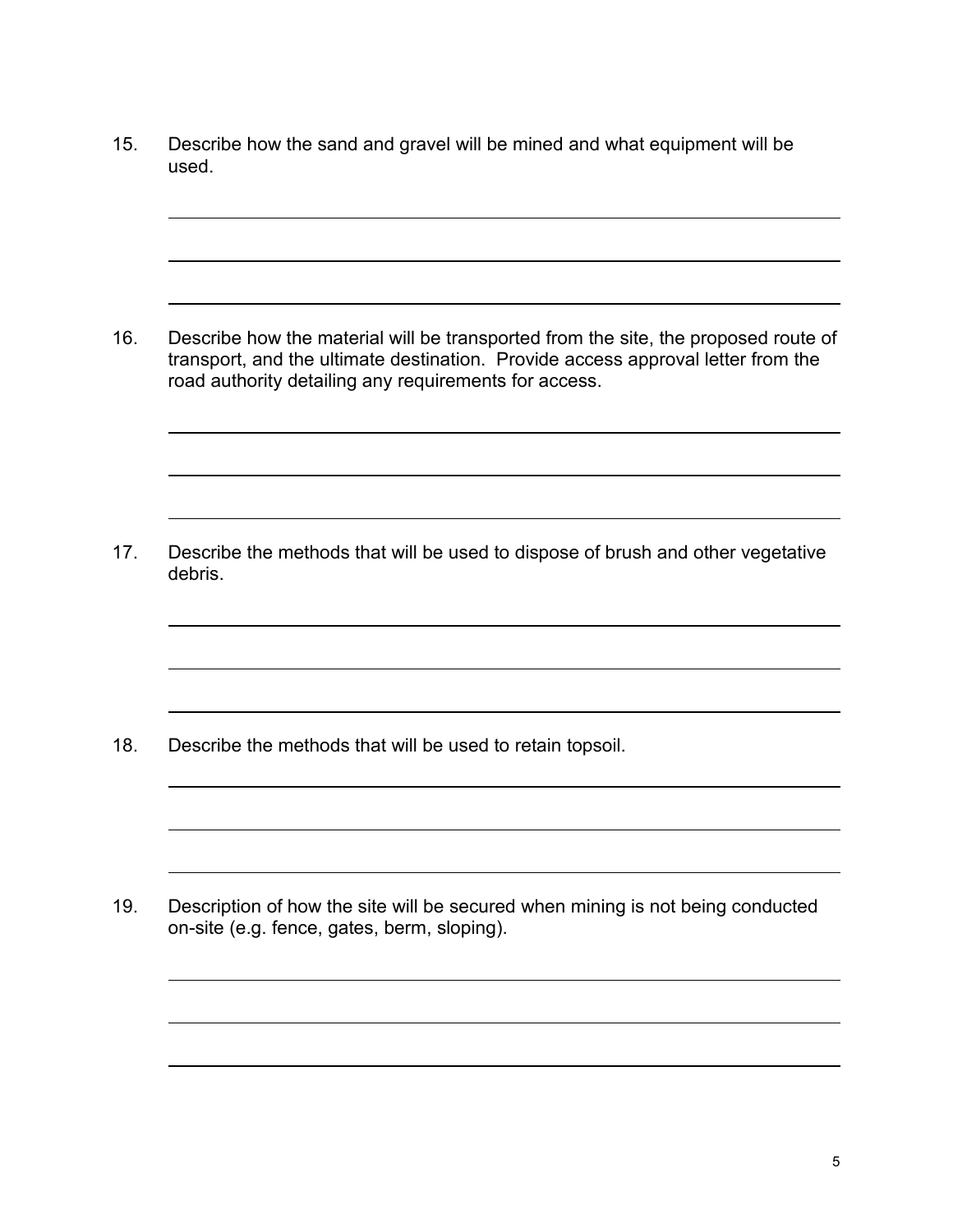15. Describe how the sand and gravel will be mined and what equipment will be used.

16. Describe how the material will be transported from the site, the proposed route of transport, and the ultimate destination. Provide access approval letter from the road authority detailing any requirements for access.

17. Describe the methods that will be used to dispose of brush and other vegetative debris.

18. Describe the methods that will be used to retain topsoil.

19. Description of how the site will be secured when mining is not being conducted on-site (e.g. fence, gates, berm, sloping).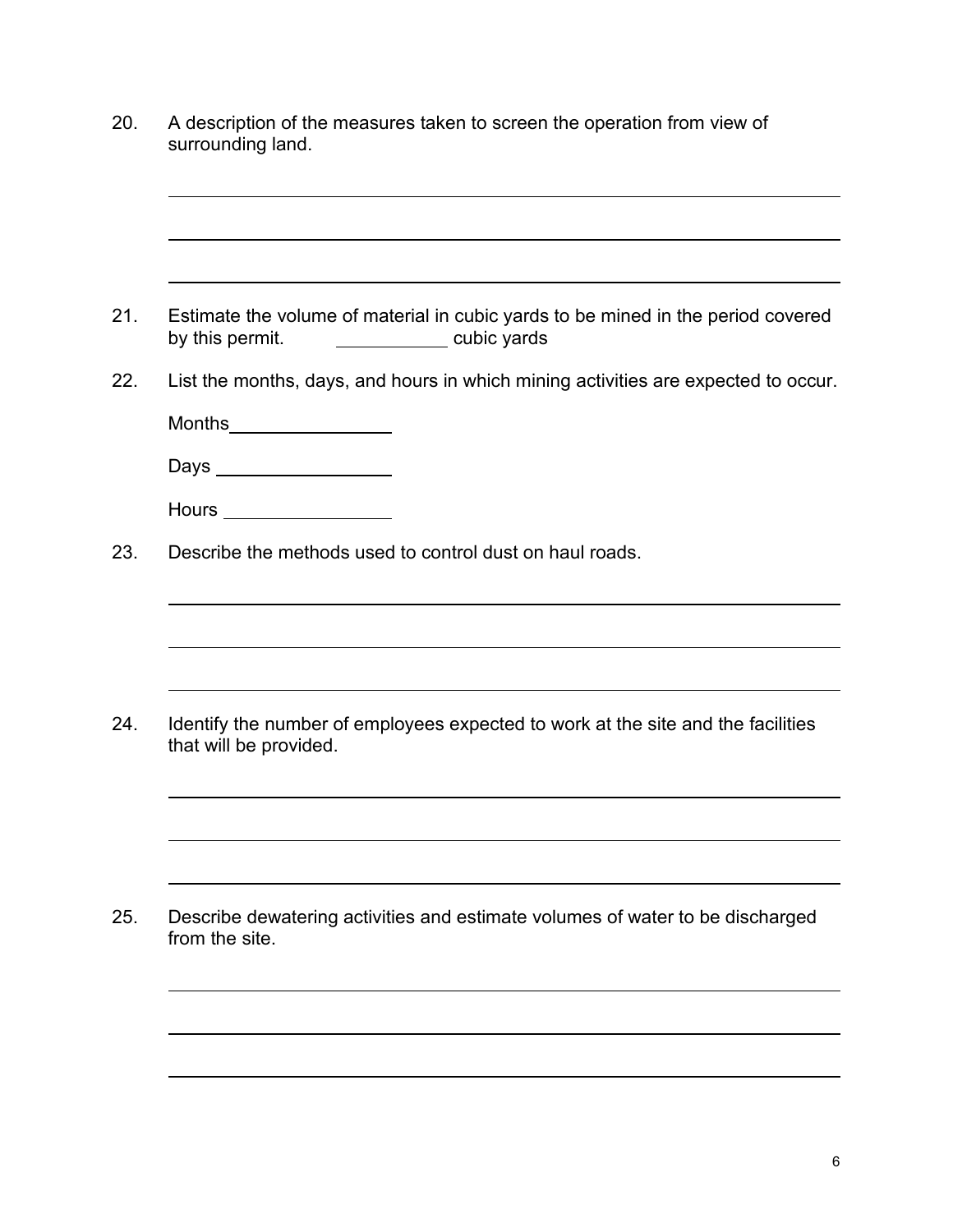20. A description of the measures taken to screen the operation from view of surrounding land. 21. Estimate the volume of material in cubic yards to be mined in the period covered by this permit. **cubic yards** 22. List the months, days, and hours in which mining activities are expected to occur. Months\_\_\_\_\_\_\_\_\_\_\_\_\_\_\_\_\_\_ Days \_\_\_\_\_\_\_\_\_\_\_\_\_\_\_\_\_\_\_ Hours \_\_\_\_\_\_\_\_\_\_\_\_\_\_\_\_\_\_\_\_\_\_\_ 23. Describe the methods used to control dust on haul roads. 24. Identify the number of employees expected to work at the site and the facilities that will be provided. 25. Describe dewatering activities and estimate volumes of water to be discharged from the site.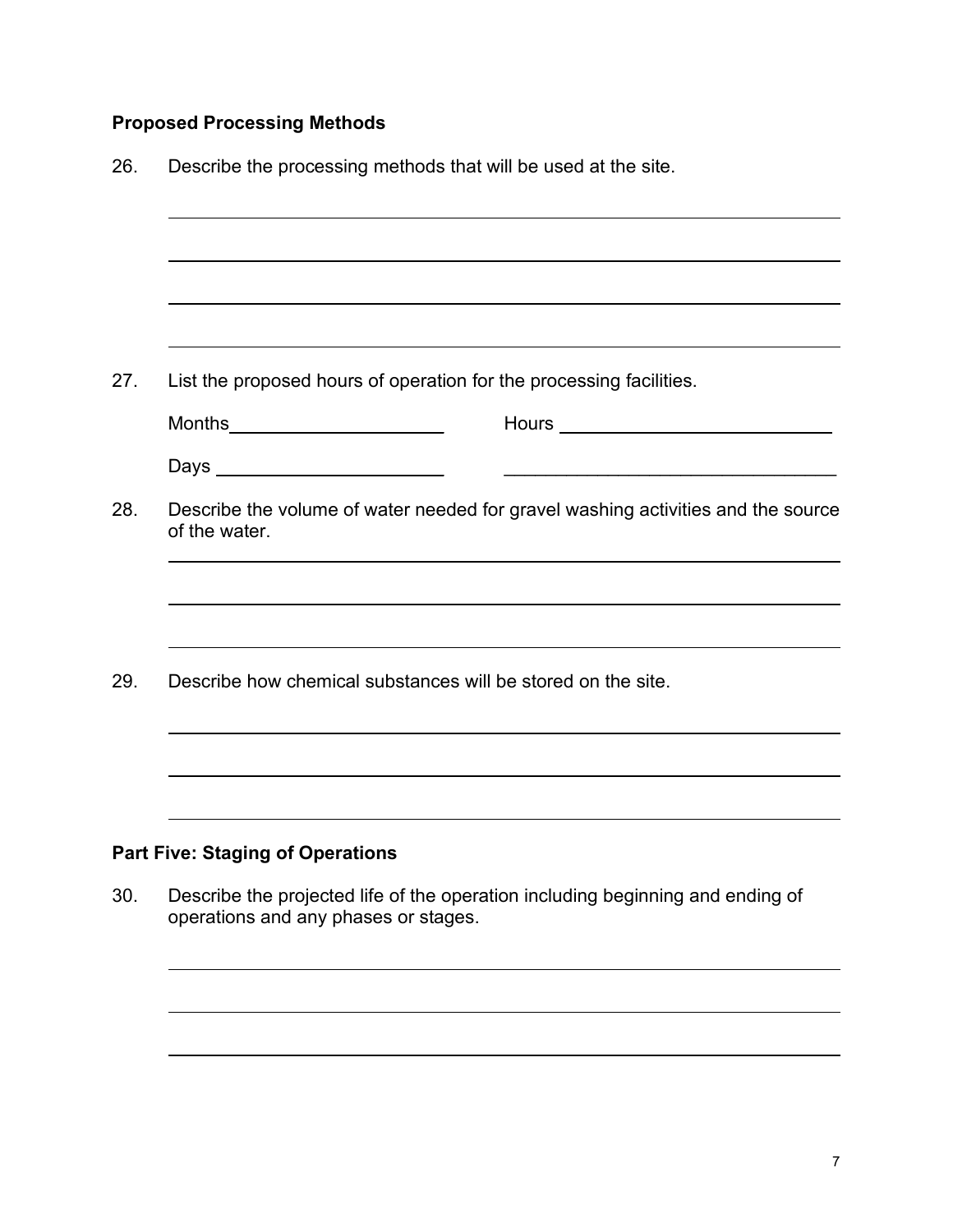# **Proposed Processing Methods**

| Describe the processing methods that will be used at the site.                                    |  |  |  |
|---------------------------------------------------------------------------------------------------|--|--|--|
|                                                                                                   |  |  |  |
|                                                                                                   |  |  |  |
|                                                                                                   |  |  |  |
| List the proposed hours of operation for the processing facilities.                               |  |  |  |
| Months__________________________                                                                  |  |  |  |
| Days _________________________                                                                    |  |  |  |
| Describe the volume of water needed for gravel washing activities and the source<br>of the water. |  |  |  |
|                                                                                                   |  |  |  |
| Describe how chemical substances will be stored on the site.                                      |  |  |  |
|                                                                                                   |  |  |  |
|                                                                                                   |  |  |  |
| <b>Part Five: Staging of Operations</b>                                                           |  |  |  |
| Describe the projected life of the operation including beginning and ending of                    |  |  |  |

operations and any phases or stages.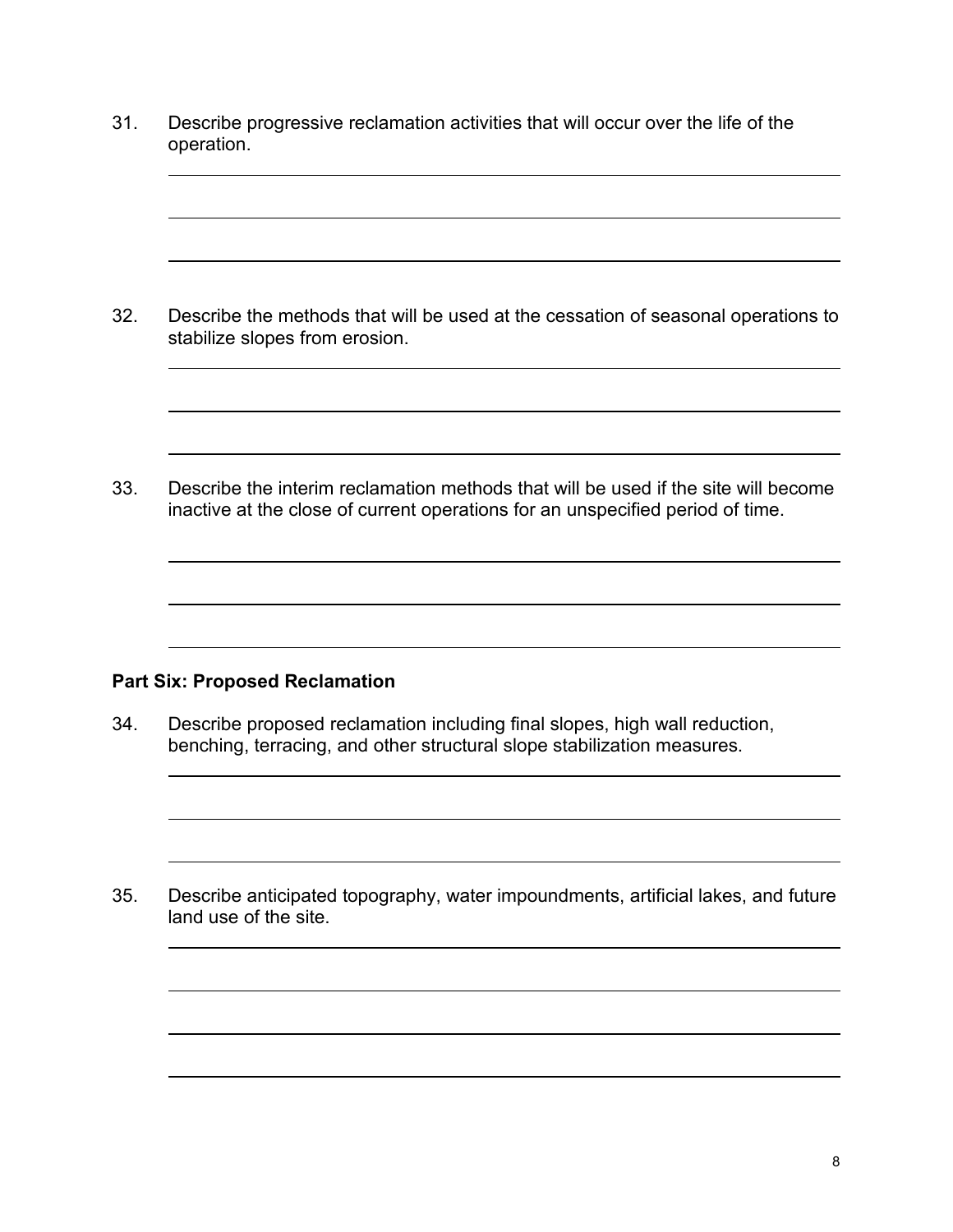31. Describe progressive reclamation activities that will occur over the life of the operation.

32. Describe the methods that will be used at the cessation of seasonal operations to stabilize slopes from erosion.

33. Describe the interim reclamation methods that will be used if the site will become inactive at the close of current operations for an unspecified period of time.

#### **Part Six: Proposed Reclamation**

34. Describe proposed reclamation including final slopes, high wall reduction, benching, terracing, and other structural slope stabilization measures.

35. Describe anticipated topography, water impoundments, artificial lakes, and future land use of the site.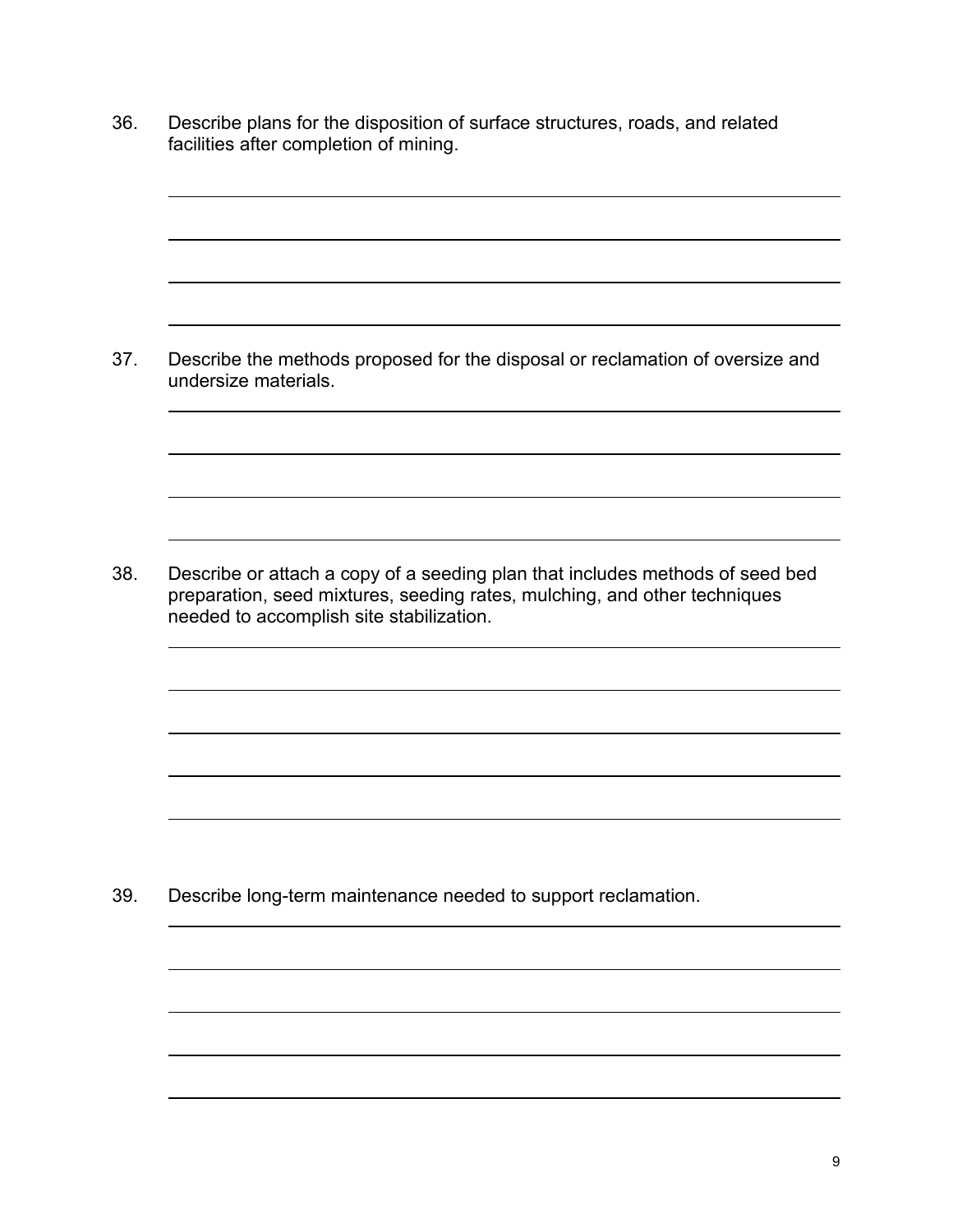36. Describe plans for the disposition of surface structures, roads, and related facilities after completion of mining.

37. Describe the methods proposed for the disposal or reclamation of oversize and undersize materials.

38. Describe or attach a copy of a seeding plan that includes methods of seed bed preparation, seed mixtures, seeding rates, mulching, and other techniques needed to accomplish site stabilization.

39. Describe long-term maintenance needed to support reclamation.